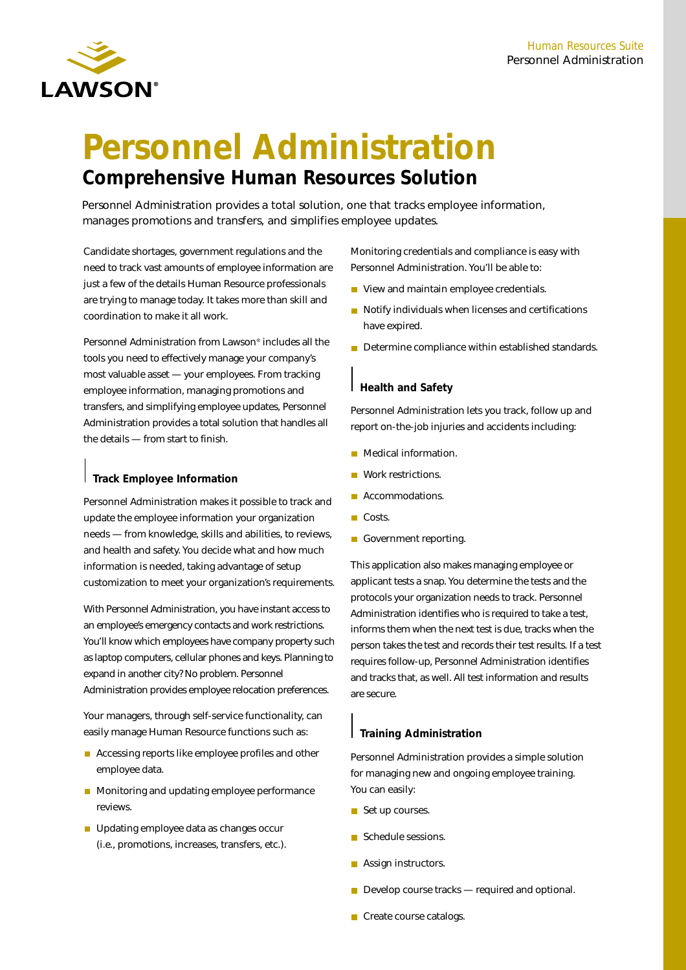

# **Personnel Administration Comprehensive Human Resources Solution**

Personnel Administration provides a total solution, one that tracks employee information, manages promotions and transfers, and simplifies employee updates.

Candidate shortages, government regulations and the need to track vast amounts of employee information are just a few of the details Human Resource professionals are trying to manage today. It takes more than skill and coordination to make it all work.

Personnel Administration from Lawson® includes all the tools you need to effectively manage your company's most valuable asset — your employees. From tracking employee information, managing promotions and transfers, and simplifying employee updates, Personnel Administration provides a total solution that handles all the details — from start to finish.

#### **Track Employee Information**

Personnel Administration makes it possible to track and update the employee information your organization needs — from knowledge, skills and abilities, to reviews, and health and safety. You decide what and how much information is needed, taking advantage of setup customization to meet your organization's requirements.

With Personnel Administration, you have instant access to an employee's emergency contacts and work restrictions. You'll know which employees have company property such as laptop computers, cellular phones and keys. Planning to expand in another city? No problem. Personnel Administration provides employee relocation preferences.

Your managers, through self-service functionality, can easily manage Human Resource functions such as:

- Accessing reports like employee profiles and other employee data.
- **Monitoring and updating employee performance** reviews.
- Updating employee data as changes occur (i.e., promotions, increases, transfers, etc.).

Monitoring credentials and compliance is easy with Personnel Administration. You'll be able to:

- View and maintain employee credentials.
- Notify individuals when licenses and certifications have expired.
- Determine compliance within established standards.

#### **Health and Safety**

Personnel Administration lets you track, follow up and report on-the-job injuries and accidents including:

- **Medical information.**
- Work restrictions.
- **Accommodations.**
- **■** Costs.
- Government reporting.

This application also makes managing employee or applicant tests a snap. You determine the tests and the protocols your organization needs to track. Personnel Administration identifies who is required to take a test, informs them when the next test is due, tracks when the person takes the test and records their test results. If a test requires follow-up, Personnel Administration identifies and tracks that, as well. All test information and results are secure.

### **Training Administration**

Personnel Administration provides a simple solution for managing new and ongoing employee training. You can easily:

- Set up courses.
- Schedule sessions.
- **Assign instructors.**
- Develop course tracks required and optional.
- Create course catalogs.